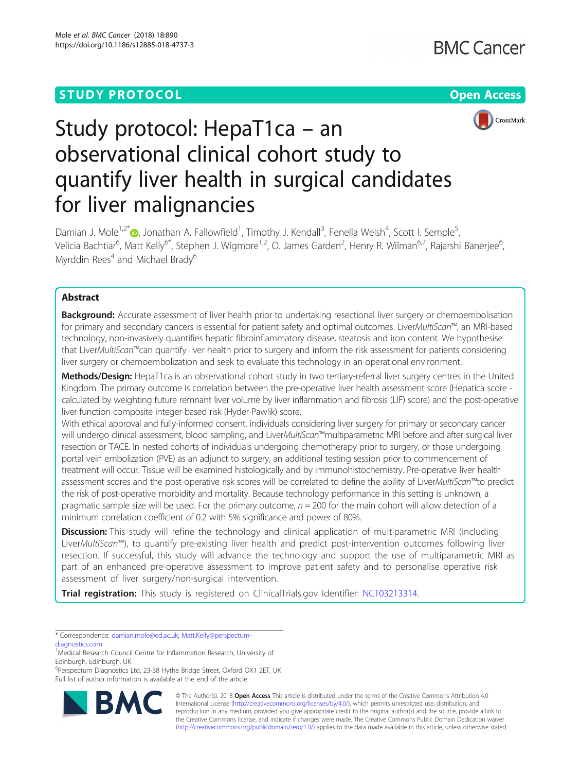## **STUDY PROTOCOL CONSUMING THE CONSUMING OPEN ACCESS**



# Study protocol: HepaT1ca – an observational clinical cohort study to quantify liver health in surgical candidates for liver malignancies

Damian J. Mole<sup>1,2[\\*](http://orcid.org/0000-0001-6884-7302)</sup> (D), Jonathan A. Fallowfield<sup>1</sup>, Timothy J. Kendall<sup>3</sup>, Fenella Welsh<sup>4</sup>, Scott I. Semple<sup>5</sup> , Velicia Bachtiar<sup>6</sup>, Matt Kelly<sup>6\*</sup>, Stephen J. Wigmore<sup>1,2</sup>, O. James Garden<sup>2</sup>, Henry R. Wilman<sup>6,7</sup>, Rajarshi Banerjee<sup>6</sup> י<br>, Myrddin Rees<sup>4</sup> and Michael Brady<sup>6</sup>

### Abstract

Background: Accurate assessment of liver health prior to undertaking resectional liver surgery or chemoembolisation for primary and secondary cancers is essential for patient safety and optimal outcomes. LiverMultiScan™, an MRI-based technology, non-invasively quantifies hepatic fibroinflammatory disease, steatosis and iron content. We hypothesise that LiverMultiScan™can quantify liver health prior to surgery and inform the risk assessment for patients considering liver surgery or chemoembolization and seek to evaluate this technology in an operational environment.

Methods/Design: HepaT1ca is an observational cohort study in two tertiary-referral liver surgery centres in the United Kingdom. The primary outcome is correlation between the pre-operative liver health assessment score (Hepatica score calculated by weighting future remnant liver volume by liver inflammation and fibrosis (LIF) score) and the post-operative liver function composite integer-based risk (Hyder-Pawlik) score.

With ethical approval and fully-informed consent, individuals considering liver surgery for primary or secondary cancer will undergo clinical assessment, blood sampling, and LiverMultiScan™multiparametric MRI before and after surgical liver resection or TACE. In nested cohorts of individuals undergoing chemotherapy prior to surgery, or those undergoing portal vein embolization (PVE) as an adjunct to surgery, an additional testing session prior to commencement of treatment will occur. Tissue will be examined histologically and by immunohistochemistry. Pre-operative liver health assessment scores and the post-operative risk scores will be correlated to define the ability of LiverMultiScan™to predict the risk of post-operative morbidity and mortality. Because technology performance in this setting is unknown, a pragmatic sample size will be used. For the primary outcome,  $n = 200$  for the main cohort will allow detection of a minimum correlation coefficient of 0.2 with 5% significance and power of 80%.

Discussion: This study will refine the technology and clinical application of multiparametric MRI (including LiverMultiScan™), to quantify pre-existing liver health and predict post-intervention outcomes following liver resection. If successful, this study will advance the technology and support the use of multiparametric MRI as part of an enhanced pre-operative assessment to improve patient safety and to personalise operative risk assessment of liver surgery/non-surgical intervention.

Trial registration: This study is registered on ClinicalTrials.gov Identifier: [NCT03213314.](https://www.clinicaltrials.gov/ct2/show/NCT03213314)

\* Correspondence: [damian.mole@ed.ac.uk;](mailto:damian.mole@ed.ac.uk) [Matt.Kelly@perspectum-](mailto:Matt.Kelly@perspectum-diagnostics.com)

[diagnostics.com](mailto:Matt.Kelly@perspectum-diagnostics.com)

<sup>6</sup>Perspectum Diagnostics Ltd, 23-38 Hythe Bridge Street, Oxford OX1 2ET, UK Full list of author information is available at the end of the article



© The Author(s). 2018 Open Access This article is distributed under the terms of the Creative Commons Attribution 4.0 International License [\(http://creativecommons.org/licenses/by/4.0/](http://creativecommons.org/licenses/by/4.0/)), which permits unrestricted use, distribution, and reproduction in any medium, provided you give appropriate credit to the original author(s) and the source, provide a link to the Creative Commons license, and indicate if changes were made. The Creative Commons Public Domain Dedication waiver [\(http://creativecommons.org/publicdomain/zero/1.0/](http://creativecommons.org/publicdomain/zero/1.0/)) applies to the data made available in this article, unless otherwise stated.

<sup>&</sup>lt;sup>1</sup>Medical Research Council Centre for Inflammation Research, University of Edinburgh, Edinburgh, UK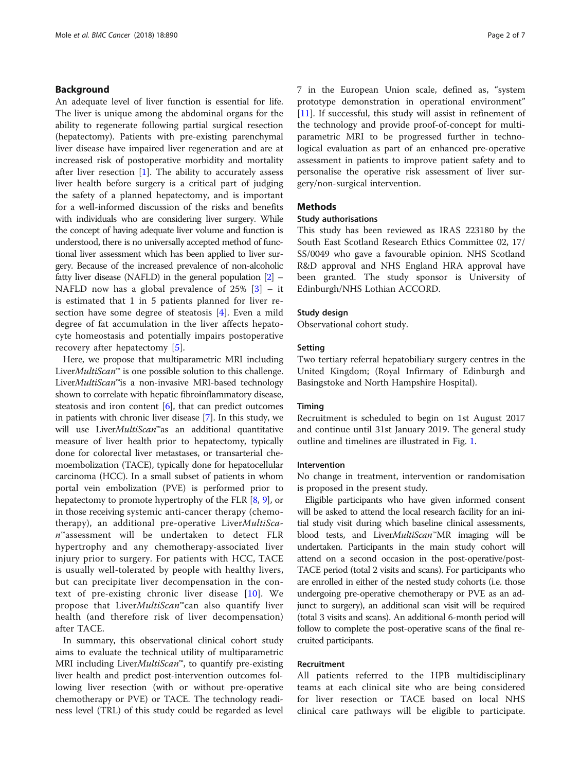#### Background

An adequate level of liver function is essential for life. The liver is unique among the abdominal organs for the ability to regenerate following partial surgical resection (hepatectomy). Patients with pre-existing parenchymal liver disease have impaired liver regeneration and are at increased risk of postoperative morbidity and mortality after liver resection [\[1](#page-6-0)]. The ability to accurately assess liver health before surgery is a critical part of judging the safety of a planned hepatectomy, and is important for a well-informed discussion of the risks and benefits with individuals who are considering liver surgery. While the concept of having adequate liver volume and function is understood, there is no universally accepted method of functional liver assessment which has been applied to liver surgery. Because of the increased prevalence of non-alcoholic fatty liver disease (NAFLD) in the general population [[2](#page-6-0)] – NAFLD now has a global prevalence of  $25\%$  [[3\]](#page-6-0) – it is estimated that 1 in 5 patients planned for liver resection have some degree of steatosis [[4\]](#page-6-0). Even a mild degree of fat accumulation in the liver affects hepatocyte homeostasis and potentially impairs postoperative recovery after hepatectomy [\[5](#page-6-0)].

Here, we propose that multiparametric MRI including LiverMultiScan<sup>™</sup> is one possible solution to this challenge. LiverMultiScan™is a non-invasive MRI-based technology shown to correlate with hepatic fibroinflammatory disease, steatosis and iron content [\[6](#page-6-0)], that can predict outcomes in patients with chronic liver disease [[7](#page-6-0)]. In this study, we will use LiverMultiScan™as an additional quantitative measure of liver health prior to hepatectomy, typically done for colorectal liver metastases, or transarterial chemoembolization (TACE), typically done for hepatocellular carcinoma (HCC). In a small subset of patients in whom portal vein embolization (PVE) is performed prior to hepatectomy to promote hypertrophy of the FLR [\[8](#page-6-0), [9\]](#page-6-0), or in those receiving systemic anti-cancer therapy (chemotherapy), an additional pre-operative LiverMultiSca $n^m$ assessment will be undertaken to detect FLR hypertrophy and any chemotherapy-associated liver injury prior to surgery. For patients with HCC, TACE is usually well-tolerated by people with healthy livers, but can precipitate liver decompensation in the context of pre-existing chronic liver disease [[10](#page-6-0)]. We propose that LiverMultiScan™can also quantify liver health (and therefore risk of liver decompensation) after TACE.

In summary, this observational clinical cohort study aims to evaluate the technical utility of multiparametric MRI including Liver $MultiScan^m$ , to quantify pre-existing liver health and predict post-intervention outcomes following liver resection (with or without pre-operative chemotherapy or PVE) or TACE. The technology readiness level (TRL) of this study could be regarded as level 7 in the European Union scale, defined as, "system prototype demonstration in operational environment" [[11\]](#page-6-0). If successful, this study will assist in refinement of the technology and provide proof-of-concept for multiparametric MRI to be progressed further in technological evaluation as part of an enhanced pre-operative assessment in patients to improve patient safety and to personalise the operative risk assessment of liver surgery/non-surgical intervention.

#### Methods

#### Study authorisations

This study has been reviewed as IRAS 223180 by the South East Scotland Research Ethics Committee 02, 17/ SS/0049 who gave a favourable opinion. NHS Scotland R&D approval and NHS England HRA approval have been granted. The study sponsor is University of Edinburgh/NHS Lothian ACCORD.

#### Study design

Observational cohort study.

#### Setting

Two tertiary referral hepatobiliary surgery centres in the United Kingdom; (Royal Infirmary of Edinburgh and Basingstoke and North Hampshire Hospital).

#### Timing

Recruitment is scheduled to begin on 1st August 2017 and continue until 31st January 2019. The general study outline and timelines are illustrated in Fig. [1.](#page-2-0)

#### Intervention

No change in treatment, intervention or randomisation is proposed in the present study.

Eligible participants who have given informed consent will be asked to attend the local research facility for an initial study visit during which baseline clinical assessments, blood tests, and LiverMultiScan™MR imaging will be undertaken. Participants in the main study cohort will attend on a second occasion in the post-operative/post-TACE period (total 2 visits and scans). For participants who are enrolled in either of the nested study cohorts (i.e. those undergoing pre-operative chemotherapy or PVE as an adjunct to surgery), an additional scan visit will be required (total 3 visits and scans). An additional 6-month period will follow to complete the post-operative scans of the final recruited participants.

#### Recruitment

All patients referred to the HPB multidisciplinary teams at each clinical site who are being considered for liver resection or TACE based on local NHS clinical care pathways will be eligible to participate.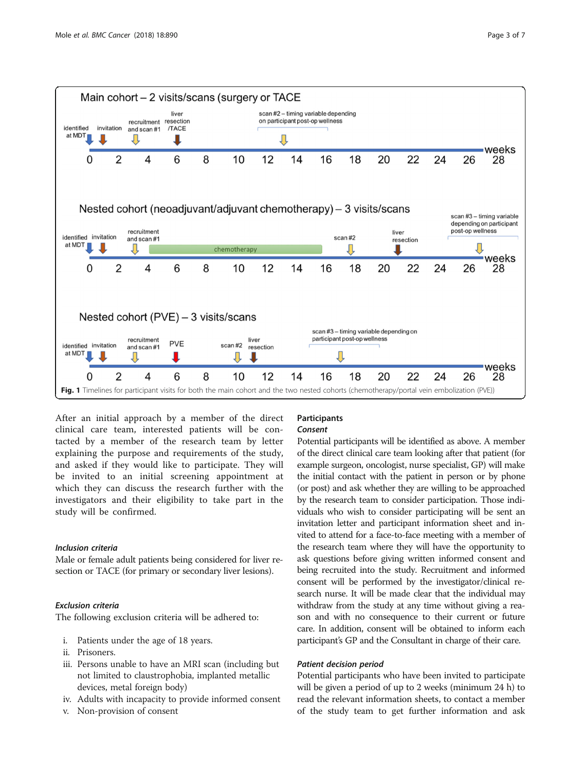<span id="page-2-0"></span>

After an initial approach by a member of the direct clinical care team, interested patients will be contacted by a member of the research team by letter explaining the purpose and requirements of the study, and asked if they would like to participate. They will be invited to an initial screening appointment at which they can discuss the research further with the investigators and their eligibility to take part in the study will be confirmed.

#### Inclusion criteria

Male or female adult patients being considered for liver resection or TACE (for primary or secondary liver lesions).

#### Exclusion criteria

The following exclusion criteria will be adhered to:

- i. Patients under the age of 18 years.
- ii. Prisoners.
- iii. Persons unable to have an MRI scan (including but not limited to claustrophobia, implanted metallic devices, metal foreign body)
- iv. Adults with incapacity to provide informed consent
- v. Non-provision of consent

# **Participants**

#### Consent

Potential participants will be identified as above. A member of the direct clinical care team looking after that patient (for example surgeon, oncologist, nurse specialist, GP) will make the initial contact with the patient in person or by phone (or post) and ask whether they are willing to be approached by the research team to consider participation. Those individuals who wish to consider participating will be sent an invitation letter and participant information sheet and invited to attend for a face-to-face meeting with a member of the research team where they will have the opportunity to ask questions before giving written informed consent and being recruited into the study. Recruitment and informed consent will be performed by the investigator/clinical research nurse. It will be made clear that the individual may withdraw from the study at any time without giving a reason and with no consequence to their current or future care. In addition, consent will be obtained to inform each participant's GP and the Consultant in charge of their care.

#### Patient decision period

Potential participants who have been invited to participate will be given a period of up to 2 weeks (minimum 24 h) to read the relevant information sheets, to contact a member of the study team to get further information and ask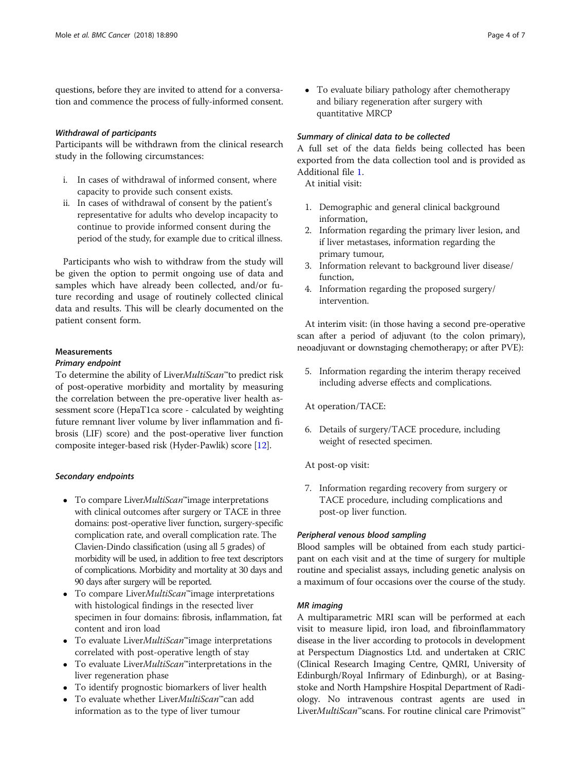questions, before they are invited to attend for a conversation and commence the process of fully-informed consent.

#### Withdrawal of participants

Participants will be withdrawn from the clinical research study in the following circumstances:

- i. In cases of withdrawal of informed consent, where capacity to provide such consent exists.
- ii. In cases of withdrawal of consent by the patient's representative for adults who develop incapacity to continue to provide informed consent during the period of the study, for example due to critical illness.

Participants who wish to withdraw from the study will be given the option to permit ongoing use of data and samples which have already been collected, and/or future recording and usage of routinely collected clinical data and results. This will be clearly documented on the patient consent form.

#### Measurements

#### Primary endpoint

To determine the ability of Liver*MultiScan*<sup>™</sup>to predict risk of post-operative morbidity and mortality by measuring the correlation between the pre-operative liver health assessment score (HepaT1ca score - calculated by weighting future remnant liver volume by liver inflammation and fibrosis (LIF) score) and the post-operative liver function composite integer-based risk (Hyder-Pawlik) score [[12](#page-6-0)].

#### Secondary endpoints

- $\bullet$  To compare Liver*MultiScan*<sup>™</sup>image interpretations with clinical outcomes after surgery or TACE in three domains: post-operative liver function, surgery-specific complication rate, and overall complication rate. The Clavien-Dindo classification (using all 5 grades) of morbidity will be used, in addition to free text descriptors of complications. Morbidity and mortality at 30 days and 90 days after surgery will be reported.
- To compare Liver*MultiScan*<sup>™</sup>image interpretations with histological findings in the resected liver specimen in four domains: fibrosis, inflammation, fat content and iron load
- To evaluate LiverMultiScan™image interpretations correlated with post-operative length of stay
- To evaluate LiverMultiScan™interpretations in the liver regeneration phase
- To identify prognostic biomarkers of liver health
- To evaluate whether Liver*MultiScan*<sup>™</sup>can add information as to the type of liver tumour

 To evaluate biliary pathology after chemotherapy and biliary regeneration after surgery with quantitative MRCP

#### Summary of clinical data to be collected

A full set of the data fields being collected has been exported from the data collection tool and is provided as Additional file [1](#page-5-0).

At initial visit:

- 1. Demographic and general clinical background information,
- 2. Information regarding the primary liver lesion, and if liver metastases, information regarding the primary tumour,
- 3. Information relevant to background liver disease/ function,
- 4. Information regarding the proposed surgery/ intervention.

At interim visit: (in those having a second pre-operative scan after a period of adjuvant (to the colon primary), neoadjuvant or downstaging chemotherapy; or after PVE):

5. Information regarding the interim therapy received including adverse effects and complications.

At operation/TACE:

- 6. Details of surgery/TACE procedure, including weight of resected specimen.
- At post-op visit:
- 7. Information regarding recovery from surgery or TACE procedure, including complications and post-op liver function.

#### Peripheral venous blood sampling

Blood samples will be obtained from each study participant on each visit and at the time of surgery for multiple routine and specialist assays, including genetic analysis on a maximum of four occasions over the course of the study.

#### MR imaging

A multiparametric MRI scan will be performed at each visit to measure lipid, iron load, and fibroinflammatory disease in the liver according to protocols in development at Perspectum Diagnostics Ltd. and undertaken at CRIC (Clinical Research Imaging Centre, QMRI, University of Edinburgh/Royal Infirmary of Edinburgh), or at Basingstoke and North Hampshire Hospital Department of Radiology. No intravenous contrast agents are used in LiverMultiScan™scans. For routine clinical care Primovist™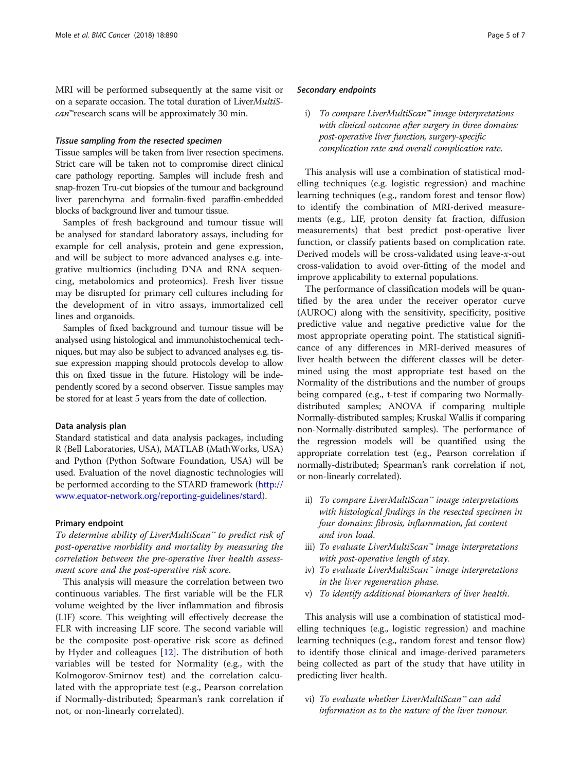MRI will be performed subsequently at the same visit or on a separate occasion. The total duration of LiverMultiS $can^m$ research scans will be approximately 30 min.

#### Tissue sampling from the resected specimen

Tissue samples will be taken from liver resection specimens. Strict care will be taken not to compromise direct clinical care pathology reporting. Samples will include fresh and snap-frozen Tru-cut biopsies of the tumour and background liver parenchyma and formalin-fixed paraffin-embedded blocks of background liver and tumour tissue.

Samples of fresh background and tumour tissue will be analysed for standard laboratory assays, including for example for cell analysis, protein and gene expression, and will be subject to more advanced analyses e.g. integrative multiomics (including DNA and RNA sequencing, metabolomics and proteomics). Fresh liver tissue may be disrupted for primary cell cultures including for the development of in vitro assays, immortalized cell lines and organoids.

Samples of fixed background and tumour tissue will be analysed using histological and immunohistochemical techniques, but may also be subject to advanced analyses e.g. tissue expression mapping should protocols develop to allow this on fixed tissue in the future. Histology will be independently scored by a second observer. Tissue samples may be stored for at least 5 years from the date of collection.

#### Data analysis plan

Standard statistical and data analysis packages, including R (Bell Laboratories, USA), MATLAB (MathWorks, USA) and Python (Python Software Foundation, USA) will be used. Evaluation of the novel diagnostic technologies will be performed according to the STARD framework ([http://](http://www.equator-network.org/reporting-guidelines/stard) [www.equator-network.org/reporting-guidelines/stard\)](http://www.equator-network.org/reporting-guidelines/stard).

#### Primary endpoint

To determine ability of LiverMultiScan™ to predict risk of post-operative morbidity and mortality by measuring the correlation between the pre-operative liver health assessment score and the post-operative risk score.

This analysis will measure the correlation between two continuous variables. The first variable will be the FLR volume weighted by the liver inflammation and fibrosis (LIF) score. This weighting will effectively decrease the FLR with increasing LIF score. The second variable will be the composite post-operative risk score as defined by Hyder and colleagues [[12\]](#page-6-0). The distribution of both variables will be tested for Normality (e.g., with the Kolmogorov-Smirnov test) and the correlation calculated with the appropriate test (e.g., Pearson correlation if Normally-distributed; Spearman's rank correlation if not, or non-linearly correlated).

#### Secondary endpoints

i) To compare LiverMultiScan™ image interpretations with clinical outcome after surgery in three domains: post-operative liver function, surgery-specific complication rate and overall complication rate.

This analysis will use a combination of statistical modelling techniques (e.g. logistic regression) and machine learning techniques (e.g., random forest and tensor flow) to identify the combination of MRI-derived measurements (e.g., LIF, proton density fat fraction, diffusion measurements) that best predict post-operative liver function, or classify patients based on complication rate. Derived models will be cross-validated using leave-x-out cross-validation to avoid over-fitting of the model and improve applicability to external populations.

The performance of classification models will be quantified by the area under the receiver operator curve (AUROC) along with the sensitivity, specificity, positive predictive value and negative predictive value for the most appropriate operating point. The statistical significance of any differences in MRI-derived measures of liver health between the different classes will be determined using the most appropriate test based on the Normality of the distributions and the number of groups being compared (e.g., t-test if comparing two Normallydistributed samples; ANOVA if comparing multiple Normally-distributed samples; Kruskal Wallis if comparing non-Normally-distributed samples). The performance of the regression models will be quantified using the appropriate correlation test (e.g., Pearson correlation if normally-distributed; Spearman's rank correlation if not, or non-linearly correlated).

- ii) To compare LiverMultiScan™ image interpretations with histological findings in the resected specimen in four domains: fibrosis, inflammation, fat content and iron load.
- iii) To evaluate LiverMultiScan™ image interpretations with post-operative length of stay.
- iv) To evaluate LiverMultiScan™ image interpretations in the liver regeneration phase.
- v) To identify additional biomarkers of liver health.

This analysis will use a combination of statistical modelling techniques (e.g., logistic regression) and machine learning techniques (e.g., random forest and tensor flow) to identify those clinical and image-derived parameters being collected as part of the study that have utility in predicting liver health.

vi) To evaluate whether LiverMultiScan™ can add information as to the nature of the liver tumour.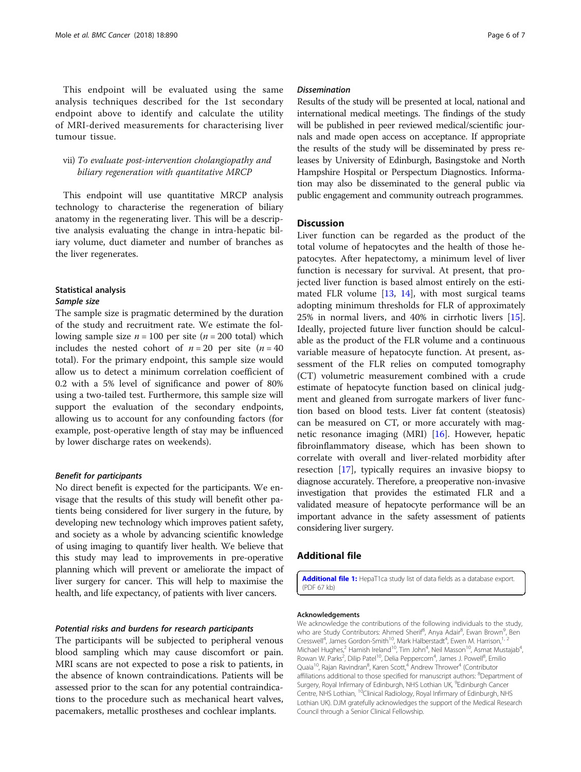<span id="page-5-0"></span>This endpoint will be evaluated using the same analysis techniques described for the 1st secondary endpoint above to identify and calculate the utility of MRI-derived measurements for characterising liver tumour tissue.

#### vii) To evaluate post-intervention cholangiopathy and biliary regeneration with quantitative MRCP

This endpoint will use quantitative MRCP analysis technology to characterise the regeneration of biliary anatomy in the regenerating liver. This will be a descriptive analysis evaluating the change in intra-hepatic biliary volume, duct diameter and number of branches as the liver regenerates.

#### Statistical analysis Sample size

The sample size is pragmatic determined by the duration of the study and recruitment rate. We estimate the following sample size  $n = 100$  per site  $(n = 200$  total) which includes the nested cohort of  $n = 20$  per site  $(n = 40)$ total). For the primary endpoint, this sample size would allow us to detect a minimum correlation coefficient of 0.2 with a 5% level of significance and power of 80% using a two-tailed test. Furthermore, this sample size will support the evaluation of the secondary endpoints, allowing us to account for any confounding factors (for example, post-operative length of stay may be influenced by lower discharge rates on weekends).

#### Benefit for participants

No direct benefit is expected for the participants. We envisage that the results of this study will benefit other patients being considered for liver surgery in the future, by developing new technology which improves patient safety, and society as a whole by advancing scientific knowledge of using imaging to quantify liver health. We believe that this study may lead to improvements in pre-operative planning which will prevent or ameliorate the impact of liver surgery for cancer. This will help to maximise the health, and life expectancy, of patients with liver cancers.

#### Potential risks and burdens for research participants

The participants will be subjected to peripheral venous blood sampling which may cause discomfort or pain. MRI scans are not expected to pose a risk to patients, in the absence of known contraindications. Patients will be assessed prior to the scan for any potential contraindications to the procedure such as mechanical heart valves, pacemakers, metallic prostheses and cochlear implants.

#### Dissemination

Results of the study will be presented at local, national and international medical meetings. The findings of the study will be published in peer reviewed medical/scientific journals and made open access on acceptance. If appropriate the results of the study will be disseminated by press releases by University of Edinburgh, Basingstoke and North Hampshire Hospital or Perspectum Diagnostics. Information may also be disseminated to the general public via public engagement and community outreach programmes.

#### **Discussion**

Liver function can be regarded as the product of the total volume of hepatocytes and the health of those hepatocytes. After hepatectomy, a minimum level of liver function is necessary for survival. At present, that projected liver function is based almost entirely on the estimated FLR volume [\[13,](#page-6-0) [14\]](#page-6-0), with most surgical teams adopting minimum thresholds for FLR of approximately 25% in normal livers, and 40% in cirrhotic livers [\[15](#page-6-0)]. Ideally, projected future liver function should be calculable as the product of the FLR volume and a continuous variable measure of hepatocyte function. At present, assessment of the FLR relies on computed tomography (CT) volumetric measurement combined with a crude estimate of hepatocyte function based on clinical judgment and gleaned from surrogate markers of liver function based on blood tests. Liver fat content (steatosis) can be measured on CT, or more accurately with magnetic resonance imaging (MRI) [[16\]](#page-6-0). However, hepatic fibroinflammatory disease, which has been shown to correlate with overall and liver-related morbidity after resection [[17\]](#page-6-0), typically requires an invasive biopsy to diagnose accurately. Therefore, a preoperative non-invasive investigation that provides the estimated FLR and a validated measure of hepatocyte performance will be an important advance in the safety assessment of patients considering liver surgery.

#### Additional file

[Additional file 1:](https://doi.org/10.1186/s12885-018-4737-3) HepaT1ca study list of data fields as a database export. (PDF 67 kb)

#### Acknowledgements

We acknowledge the contributions of the following individuals to the study, who are Study Contributors: Ahmed Sherif<sup>8</sup>, Anya Adair<sup>8</sup>, Ewan Brown<sup>9</sup>, Ben Cresswell<sup>4</sup>, James Gordon-Smith<sup>10</sup>, Mark Halberstadt<sup>4</sup>, Ewen M. Harrison,<sup>1, 2</sup> Michael Hughes,<sup>2</sup> Hamish Ireland<sup>10</sup>, Tim John<sup>4</sup>, Neil Masson<sup>10</sup>, Asmat Mustajab<sup>4</sup> , Rowan W. Parks<sup>2</sup>, Dilip Patel<sup>10</sup>, Delia Peppercorn<sup>4</sup>, James J. Powell<sup>8</sup>, Emilic Quaia<sup>10</sup>, Rajan Ravindran<sup>8</sup>, Karen Scott,<sup>4</sup> Andrew Thrower<sup>4</sup> (Contributor affiliations additional to those specified for manuscript authors: <sup>8</sup>Department of Surgery, Royal Infirmary of Edinburgh, NHS Lothian UK, <sup>9</sup>Edinburgh Cancer<br>Centre, NHS Lothian, <sup>10</sup>Clinical Radiology, Royal Infirmary of Edinburgh, NHS Lothian UK). DJM gratefully acknowledges the support of the Medical Research Council through a Senior Clinical Fellowship.